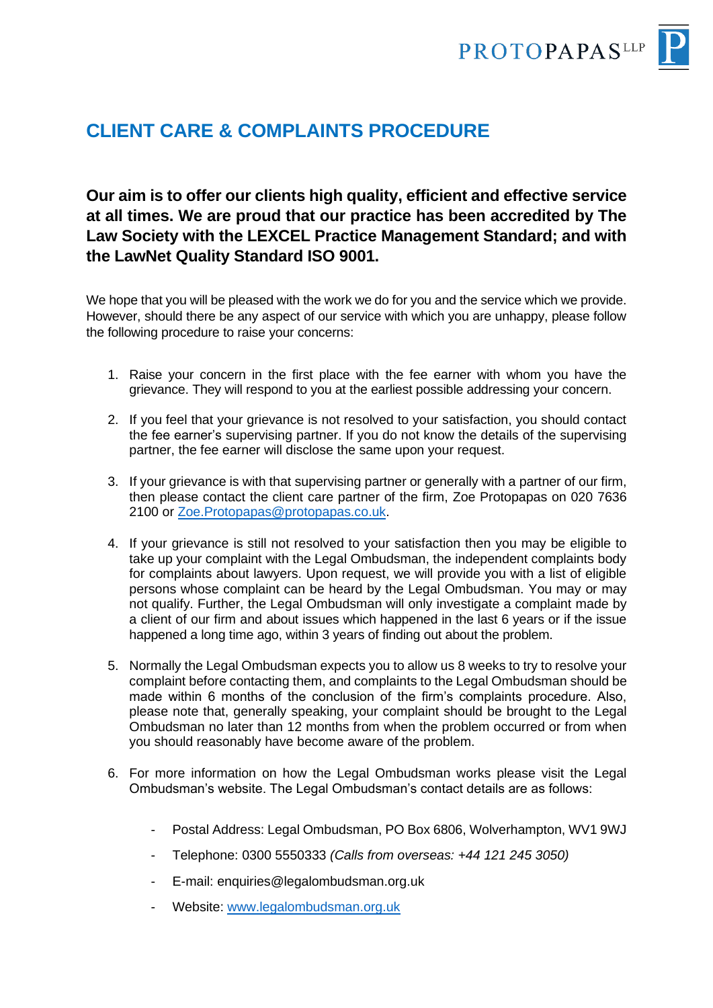

## **CLIENT CARE & COMPLAINTS PROCEDURE**

## **Our aim is to offer our clients high quality, efficient and effective service at all times. We are proud that our practice has been accredited by The Law Society with the LEXCEL Practice Management Standard; and with the LawNet Quality Standard ISO 9001.**

We hope that you will be pleased with the work we do for you and the service which we provide. However, should there be any aspect of our service with which you are unhappy, please follow the following procedure to raise your concerns:

- 1. Raise your concern in the first place with the fee earner with whom you have the grievance. They will respond to you at the earliest possible addressing your concern.
- 2. If you feel that your grievance is not resolved to your satisfaction, you should contact the fee earner's supervising partner. If you do not know the details of the supervising partner, the fee earner will disclose the same upon your request.
- 3. If your grievance is with that supervising partner or generally with a partner of our firm, then please contact the client care partner of the firm, Zoe Protopapas on 020 7636 2100 or [Zoe.Protopapas@protopapas.co.uk.](mailto:Zoe.Protopapas@protopapas.co.uk)
- 4. If your grievance is still not resolved to your satisfaction then you may be eligible to take up your complaint with the Legal Ombudsman, the independent complaints body for complaints about lawyers. Upon request, we will provide you with a list of eligible persons whose complaint can be heard by the Legal Ombudsman. You may or may not qualify. Further, the Legal Ombudsman will only investigate a complaint made by a client of our firm and about issues which happened in the last 6 years or if the issue happened a long time ago, within 3 years of finding out about the problem.
- 5. Normally the Legal Ombudsman expects you to allow us 8 weeks to try to resolve your complaint before contacting them, and complaints to the Legal Ombudsman should be made within 6 months of the conclusion of the firm's complaints procedure. Also, please note that, generally speaking, your complaint should be brought to the Legal Ombudsman no later than 12 months from when the problem occurred or from when you should reasonably have become aware of the problem.
- 6. For more information on how the Legal Ombudsman works please visit the Legal Ombudsman's website. The Legal Ombudsman's contact details are as follows:
	- Postal Address: Legal Ombudsman, PO Box 6806, Wolverhampton, WV1 9WJ
	- Telephone: 0300 5550333 *(Calls from overseas: +44 121 245 3050)*
	- E-mail: enquiries@legalombudsman.org.uk
	- Website: [www.legalombudsman.org.uk](http://www.legalombudsman.org.uk/)